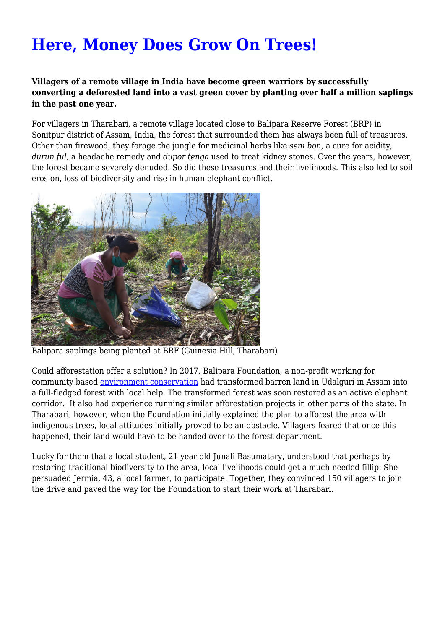## **[Here, Money Does Grow On Trees!](https://www.sacredgroves.earth/blog/here-money-does-grow-on-trees/)**

## **Villagers of a remote village in India have become green warriors by successfully converting a deforested land into a vast green cover by planting over half a million saplings in the past one year.**

For villagers in Tharabari, a remote village located close to Balipara Reserve Forest (BRP) in Sonitpur district of Assam, India, the forest that surrounded them has always been full of treasures. Other than firewood, they forage the jungle for medicinal herbs like *seni bon,* a cure for acidity, *durun ful,* a headache remedy and *dupor tenga* used to treat kidney stones. Over the years, however, the forest became severely denuded. So did these treasures and their livelihoods. This also led to soil erosion, loss of biodiversity and rise in human-elephant conflict.



Balipara saplings being planted at BRF (Guinesia Hill, Tharabari)

Could afforestation offer a solution? In 2017, Balipara Foundation, a non-profit working for community based [environment conservation](http://www.sacredgroves.earth/blog/category/environmental-protection/) had transformed barren land in Udalguri in Assam into a full-fledged forest with local help. The transformed forest was soon restored as an active elephant corridor. It also had experience running similar afforestation projects in other parts of the state. In Tharabari, however, when the Foundation initially explained the plan to afforest the area with indigenous trees, local attitudes initially proved to be an obstacle. Villagers feared that once this happened, their land would have to be handed over to the forest department.

Lucky for them that a local student, 21-year-old Junali Basumatary, understood that perhaps by restoring traditional biodiversity to the area, local livelihoods could get a much-needed fillip. She persuaded Jermia, 43, a local farmer, to participate. Together, they convinced 150 villagers to join the drive and paved the way for the Foundation to start their work at Tharabari.